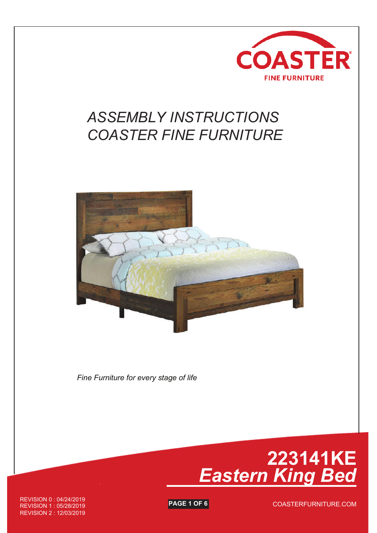

## *ASSEMBLY INSTRUCTIONS COASTER FINE FURNITURE*



*Fine Furniture for every stage of life*



**PAGE 1 OF 6** REVISION 0 : 04/24/2019 REVISION 1 : 05/28/2019 REVISION 2 : 12/03/2019

COASTERFURNITURE.COM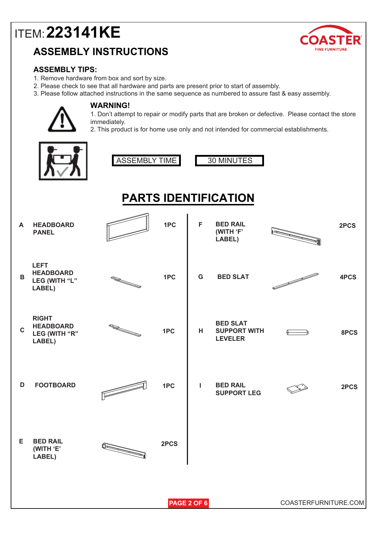## **ASSEMBLY INSTRUCTIONS**



### **ASSEMBLY TIPS:**

- 1. Remove hardware from box and sort by size.
- 2. Please check to see that all hardware and parts are present prior to start of assembly.
- 3. Please follow attached instructions in the same sequence as numbered to assure fast & easy assembly.



### **WARNING!**

1. Don't attempt to repair or modify parts that are broken or defective. Please contact the store immediately.

2. This product is for home use only and not intended for commercial establishments.

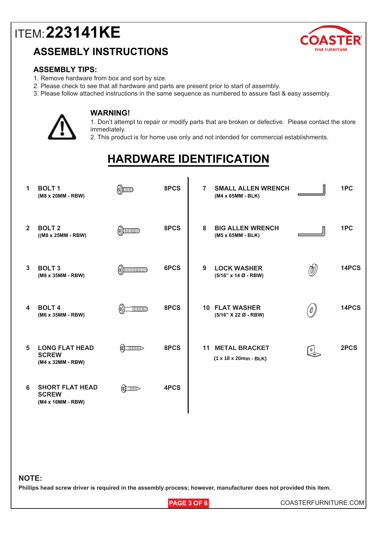### **ASSEMBLY INSTRUCTIONS**



#### **ASSEMBLY TIPS:**

- 1. Remove hardware from box and sort by size.
- 2. Please check to see that all hardware and parts are present prior to start of assembly.
- 3. Please follow attached instructions in the same sequence as numbered to assure fast & easy assembly.



#### **WARNING!**

1. Don't attempt to repair or modify parts that are broken or defective. Please contact the store immediately.

2. This product is for home use only and not intended for commercial establishments.

## **HARDWARE IDENTIFICATION**

| $\mathbf{1}$     | <b>BOLT1</b><br>(M8 x 20MM - RBW)                           | $\binom{6}{2}$                    | 8PCS | <b>SMALL ALLEN WRENCH</b><br>$\overline{7}$<br>(M4 x 65MM - BLK) |               | 1PC   |
|------------------|-------------------------------------------------------------|-----------------------------------|------|------------------------------------------------------------------|---------------|-------|
| $\overline{2}$   | <b>BOLT 2</b><br>$((M8 x 25MM - RBW)$                       | $\omega$ )) $\omega$              | 8PCS | <b>BIG ALLEN WRENCH</b><br>8<br>(M5 x 65MM - BLK)                |               | 1PC   |
| 3                | <b>BOLT 3</b><br>(M8 x 35MM - RBW)                          | $\omega$ )) $\omega$              | 6PCS | 9<br><b>LOCK WASHER</b><br>$(5/16"$ x 14 Ø - RBW)                | (M)           | 14PCS |
| $\blacktriangle$ | <b>BOLT4</b><br>(M6 x 35MM - RBW)                           | $\text{mmm}$<br>$\left( 0\right)$ | 8PCS | <b>10 FLAT WASHER</b><br>(5/16" X 22 Ø - RBW)                    | '0 ]          | 14PCS |
| 5                | <b>LONG FLAT HEAD</b><br><b>SCREW</b><br>(M4 x 32MM - RBW)  | (S) INDIED                        | 8PCS | <b>11 METAL BRACKET</b><br>$(1 x 18 x 20mm - BLK)$               | $\frac{1}{2}$ | 2PCS  |
| 6                | <b>SHORT FLAT HEAD</b><br><b>SCREW</b><br>(M4 x 16MM - RBW) | $\sum_{i=1}^{n}$                  | 4PCS |                                                                  |               |       |

#### **NOTE:**

**Phillips head screw driver is required in the assembly process; however, manufacturer does not provided this item.**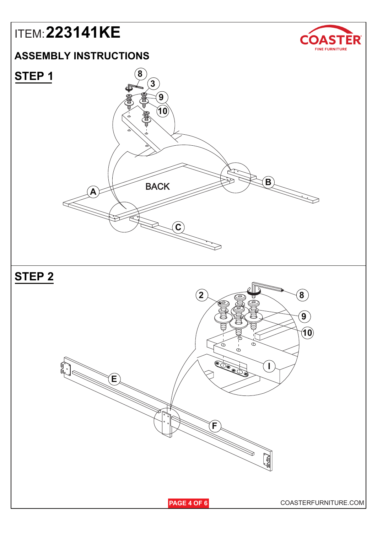### **ASSEMBLY INSTRUCTIONS**





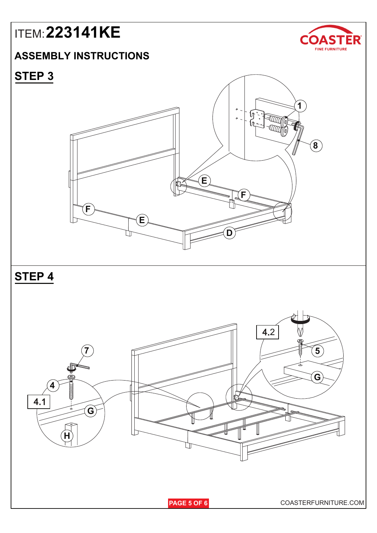## **ASSEMBLY INSTRUCTIONS**



## **STEP 3**

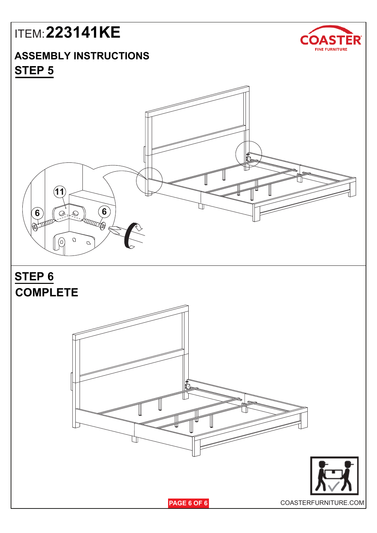## **ASSEMBLY INSTRUCTIONS STEP 5**





**PAGE 6 OF 6** COASTERFURNITURE.COM